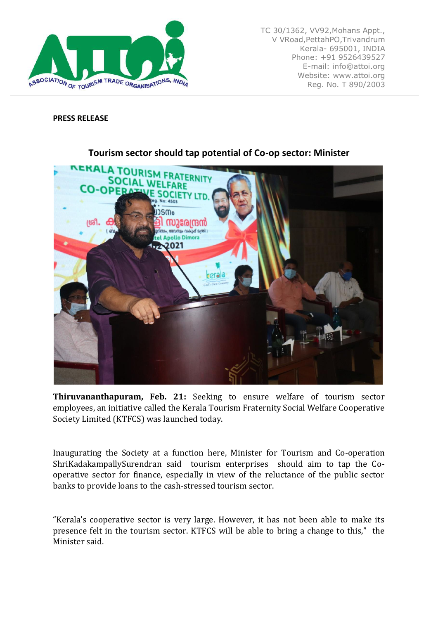

TC 30/1362, VV92,Mohans Appt., V VRoad,PettahPO,Trivandrum Kerala- 695001, INDIA Phone: +91 9526439527 E-mail: info@attoi.org Website: www.attoi.org Reg. No. T 890/2003

## **PRESS RELEASE**



## **Tourism sector should tap potential of Co-op sector: Minister**

**Thiruvananthapuram, Feb. 21:** Seeking to ensure welfare of tourism sector employees, an initiative called the Kerala Tourism Fraternity Social Welfare Cooperative Society Limited (KTFCS) was launched today.

Inaugurating the Society at a function here, Minister for Tourism and Co-operation ShriKadakampallySurendran said tourism enterprises should aim to tap the Cooperative sector for finance, especially in view of the reluctance of the public sector banks to provide loans to the cash-stressed tourism sector.

"Kerala's cooperative sector is very large. However, it has not been able to make its presence felt in the tourism sector. KTFCS will be able to bring a change to this," the Minister said.